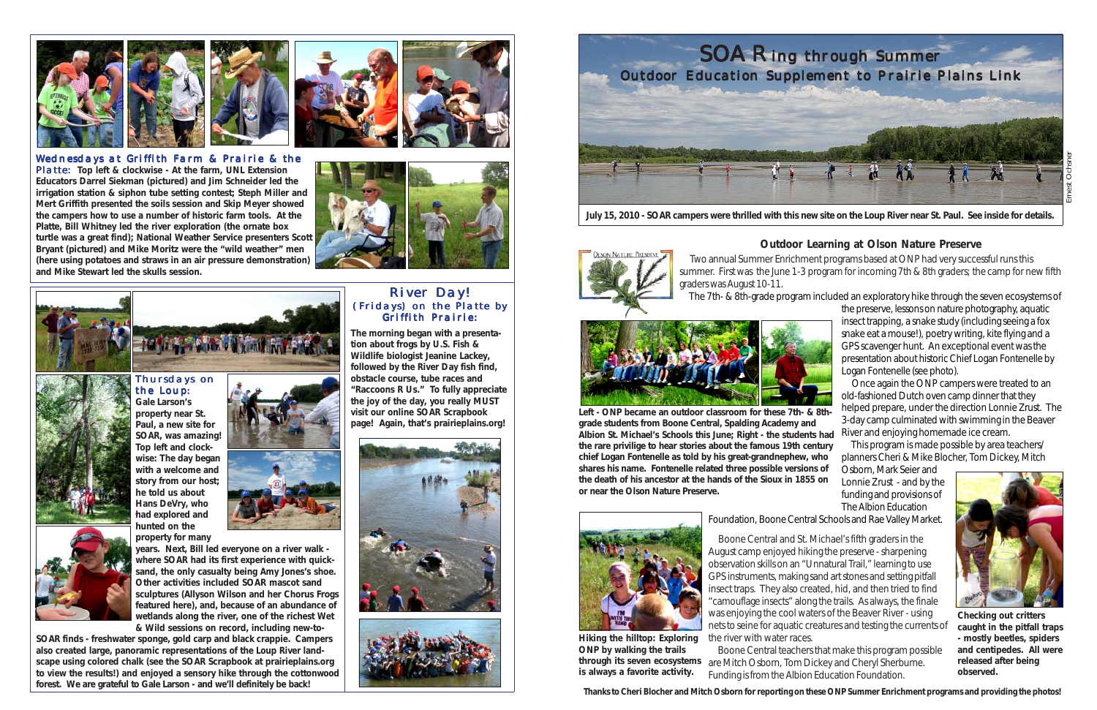## **Outdoor Learning at Olson Nature Preserve**



**July 15, 2010 - SOAR campers were thrilled with this new site on the Loup River near St. Paul. See inside for details.**

 Two annual Summer Enrichment programs based at ONP had very successful runs this summer. First was the June 1-3 program for incoming 7th & 8th graders; the camp for new fifth



graders was August 10-11.



The 7th- & 8th-grade program included an exploratory hike through the seven ecosystems of



the preserve, lessons on nature photography, aquatic insect trapping, a snake study (including seeing a fox snake eat a mouse!), poetry writing, kite flying and a GPS scavenger hunt. An exceptional event was the presentation about historic Chief Logan Fontenelle by Logan Fontenelle (see photo).

 Once again the ONP campers were treated to an old-fashioned Dutch oven camp dinner that they helped prepare, under the direction Lonnie Zrust. The 3-day camp culminated with swimming in the Beaver River and enjoying homemade ice cream.

 This program is made possible by area teachers/ planners Cheri & Mike Blocher, Tom Dickey, Mitch

Osborn, Mark Seier and Lonnie Zrust - and by the funding and provisions of The Albion Education

Foundation, Boone Central Schools and Rae Valley Market.

Hiking the hilltop: Exploring the river with water races. **ONP by walking the trails through its seven ecosystems is always a favorite activity.**

 Boone Central and St. Michael's fifth graders in the August camp enjoyed hiking the preserve - sharpening observation skills on an "Unnatural Trail," learning to use GPS instruments, making sand art stones and setting pitfall insect traps. They also created, hid, and then tried to find "camouflage insects" along the trails. As always, the finale was enjoying the cool waters of the Beaver River - using nets to seine for aquatic creatures and testing the currents of

 Boone Central teachers that make this program possible are Mitch Osborn, Tom Dickey and Cheryl Sherburne. Funding is from the Albion Education Foundation.

**Left - ONP became an outdoor classroom for these 7th- & 8thgrade students from Boone Central, Spalding Academy and Albion St. Michael's Schools this June; Right - the students had the rare privilige to hear stories about the famous 19th century chief Logan Fontenelle as told by his great-grandnephew, who shares his name. Fontenelle related three possible versions of the death of his ancestor at the hands of the Sioux in 1855 on or near the Olson Nature Preserve.**





**Checking out critters caught in the pitfall traps - mostly beetles, spiders and centipedes. All were released after being observed.**

















Thursdays on the Loup**:**



**Gale Larson's property near St. Paul, a new site for SOAR, was amazing! Top left and clockwise: The day began with a welcome and story from our host; he told us about Hans DeVry, who had explored and hhunted on the property for many**

**years. Next, Bill led everyone on a river walk where SOAR had its first experience with quicksand, the only casualty being Amy Jones's shoe. Other activities included SOAR mascot sand sculptures (Allyson Wilson and her Chorus Frogs featured here), and, because of an abundance of wetlands along the river, one of the richest Wet & Wild sessions on record, including new-to-**

**SOAR finds - freshwater sponge, gold carp and black crappie. Campers also created large, panoramic representations of the Loup River landscape using colored chalk (see the SOAR Scrapbook at prairieplains.org to view the results!) and enjoyed a sensory hike through the cottonwood forest. We are grateful to Gale Larson - and we'll definitely be back!**

## River Day! (Fridays) on the Platte by Griffith Prairie:

**The morning began with a presentation about frogs by U.S. Fish & Wildlife biologist Jeanine Lackey, followed by the River Day fish find, obstacle course, tube races and "Raccoons R Us." To fully appreciate the joy of the day, you really MUST visit our online SOAR Scrapbook page! Again, that's prairieplains.org!**